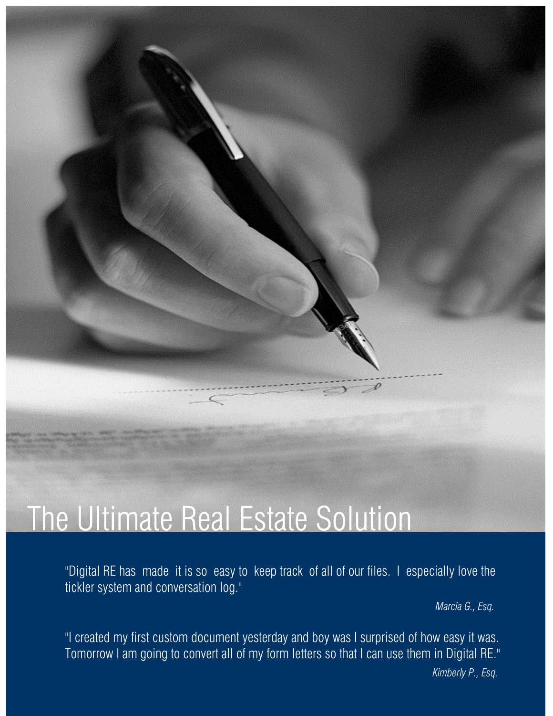## The Ultimate Real Estate Solution

"Digital RE has made it is so easy to keep track of all of our files. I especially love the tickler system and conversation log."

*Marcia G., Esq.*

"I created my first custom document yesterday and boy was I surprised of how easy it was. Tomorrow I am going to convert all of my form letters so that I can use them in Digital RE."  *Kimberly P., Esq.*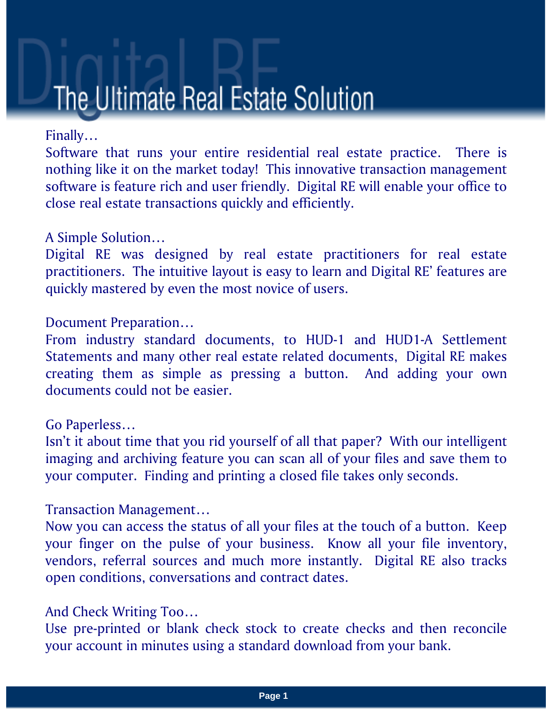# The Ultimate Real Estate Solution

#### Finally…

Software that runs your entire residential real estate practice. There is nothing like it on the market today! This innovative transaction management software is feature rich and user friendly. Digital RE will enable your office to close real estate transactions quickly and efficiently.

#### A Simple Solution…

Digital RE was designed by real estate practitioners for real estate practitioners. The intuitive layout is easy to learn and Digital RE' features are quickly mastered by even the most novice of users.

#### Document Preparation…

From industry standard documents, to HUD-1 and HUD1-A Settlement Statements and many other real estate related documents, Digital RE makes creating them as simple as pressing a button. And adding your own documents could not be easier.

#### Go Paperless…

Isn't it about time that you rid yourself of all that paper? With our intelligent imaging and archiving feature you can scan all of your files and save them to your computer. Finding and printing a closed file takes only seconds.

#### Transaction Management…

Now you can access the status of all your files at the touch of a button. Keep your finger on the pulse of your business. Know all your file inventory, vendors, referral sources and much more instantly. Digital RE also tracks open conditions, conversations and contract dates.

#### And Check Writing Too…

Use pre-printed or blank check stock to create checks and then reconcile your account in minutes using a standard download from your bank.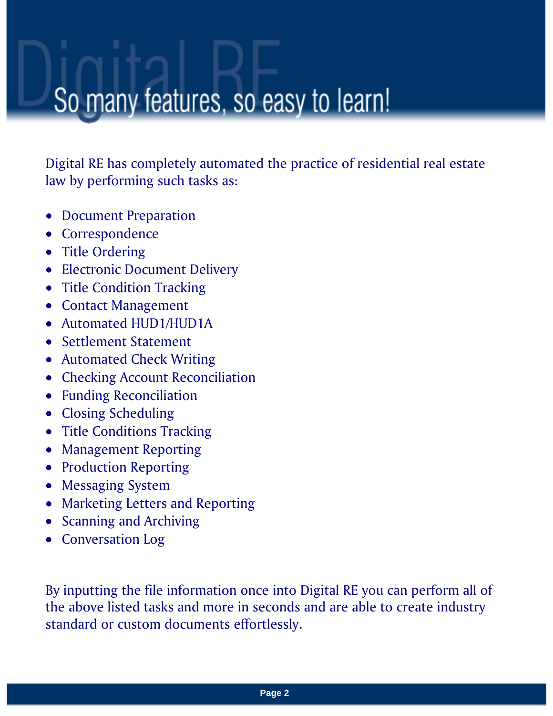### So many features, so easy to learn!

Digital RE has completely automated the practice of residential real estate law by performing such tasks as:

- Document Preparation
- Correspondence
- Title Ordering
- Electronic Document Delivery
- Title Condition Tracking
- Contact Management
- Automated HUD1/HUD1A
- Settlement Statement
- Automated Check Writing
- Checking Account Reconciliation
- Funding Reconciliation
- Closing Scheduling
- Title Conditions Tracking
- Management Reporting
- Production Reporting
- Messaging System
- Marketing Letters and Reporting
- Scanning and Archiving
- Conversation Log

By inputting the file information once into Digital RE you can perform all of the above listed tasks and more in seconds and are able to create industry standard or custom documents effortlessly.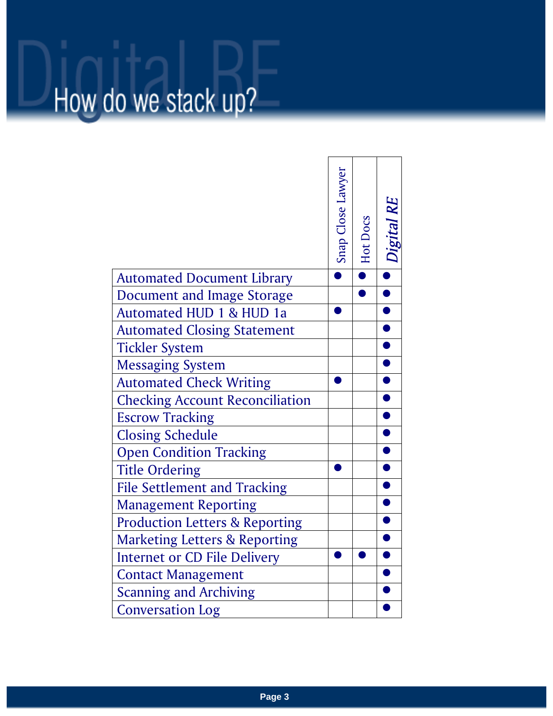# How do we stack up?

|                                           | Snap Close Lawyer | Hot Docs | <b>Digital RE</b> |
|-------------------------------------------|-------------------|----------|-------------------|
| <b>Automated Document Library</b>         |                   |          |                   |
| Document and Image Storage                |                   |          |                   |
| Automated HUD 1 & HUD 1a                  |                   |          |                   |
| <b>Automated Closing Statement</b>        |                   |          |                   |
| <b>Tickler System</b>                     |                   |          |                   |
| Messaging System                          |                   |          |                   |
| <b>Automated Check Writing</b>            |                   |          |                   |
| <b>Checking Account Reconciliation</b>    |                   |          |                   |
| <b>Escrow Tracking</b>                    |                   |          |                   |
| <b>Closing Schedule</b>                   |                   |          |                   |
| <b>Open Condition Tracking</b>            |                   |          |                   |
| <b>Title Ordering</b>                     |                   |          |                   |
| <b>File Settlement and Tracking</b>       |                   |          |                   |
| <b>Management Reporting</b>               |                   |          |                   |
| <b>Production Letters &amp; Reporting</b> |                   |          |                   |
| <b>Marketing Letters &amp; Reporting</b>  |                   |          |                   |
| <b>Internet or CD File Delivery</b>       |                   |          |                   |
| <b>Contact Management</b>                 |                   |          |                   |
| <b>Scanning and Archiving</b>             |                   |          |                   |
| <b>Conversation Log</b>                   |                   |          |                   |